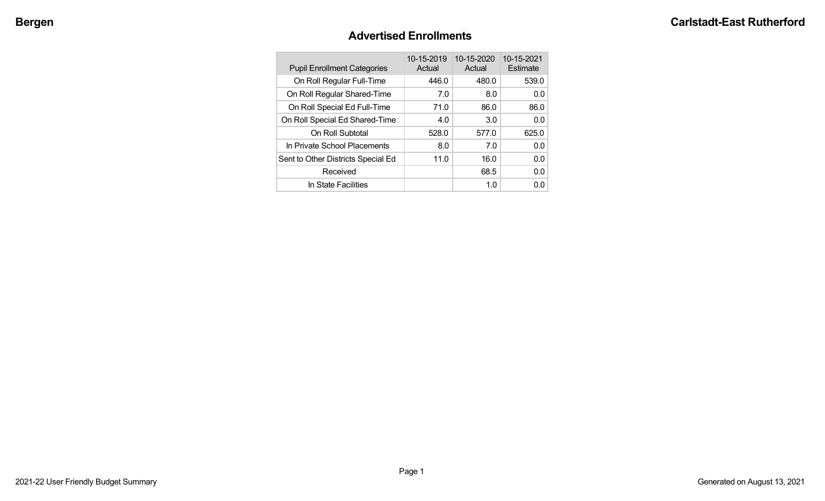# **Advertised Enrollments**

| <b>Pupil Enrollment Categories</b> | 10-15-2019<br>Actual | 10-15-2020<br>Actual | 10-15-2021<br>Estimate |
|------------------------------------|----------------------|----------------------|------------------------|
| On Roll Regular Full-Time          | 446.0                | 480.0                | 539.0                  |
| On Roll Regular Shared-Time        | 7.0                  | 8.0                  | 0.0                    |
| On Roll Special Ed Full-Time       | 71.0                 | 86.0                 | 86.0                   |
| On Roll Special Ed Shared-Time     | 4.0                  | 3.0                  | 0.0                    |
| On Roll Subtotal                   | 528.0                | 577.0                | 625.0                  |
| In Private School Placements       | 8.0                  | 7.0                  | 0.0                    |
| Sent to Other Districts Special Ed | 11.0                 | 16.0                 | 0.0                    |
| Received                           |                      | 68.5                 | 0.0                    |
| In State Facilities                |                      | 1.0                  | 0.0                    |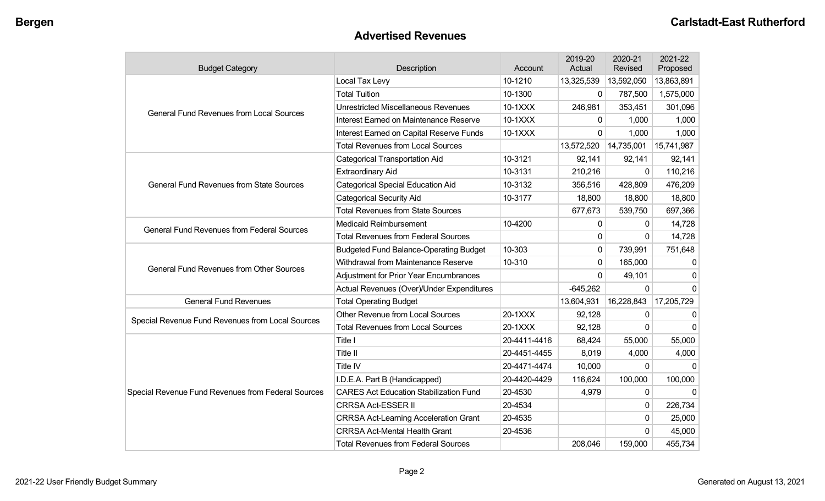## **Advertised Revenues**

| <b>Budget Category</b>                             | Description                                   | Account      | 2019-20<br>Actual | 2020-21<br>Revised | 2021-22<br>Proposed |
|----------------------------------------------------|-----------------------------------------------|--------------|-------------------|--------------------|---------------------|
|                                                    | Local Tax Levy                                | 10-1210      | 13,325,539        | 13,592,050         | 13,863,891          |
|                                                    | <b>Total Tuition</b>                          | 10-1300      | 0                 | 787,500            | 1,575,000           |
| <b>General Fund Revenues from Local Sources</b>    | <b>Unrestricted Miscellaneous Revenues</b>    | 10-1XXX      | 246,981           | 353,451            | 301,096             |
|                                                    | Interest Earned on Maintenance Reserve        | 10-1XXX      | 0                 | 1,000              | 1,000               |
|                                                    | Interest Earned on Capital Reserve Funds      | 10-1XXX      | 0                 | 1,000              | 1,000               |
|                                                    | <b>Total Revenues from Local Sources</b>      |              | 13,572,520        | 14,735,001         | 15,741,987          |
|                                                    | <b>Categorical Transportation Aid</b>         | 10-3121      | 92,141            | 92,141             | 92,141              |
|                                                    | <b>Extraordinary Aid</b>                      | 10-3131      | 210,216           | $\mathbf{0}$       | 110,216             |
| <b>General Fund Revenues from State Sources</b>    | <b>Categorical Special Education Aid</b>      | 10-3132      | 356,516           | 428,809            | 476,209             |
|                                                    | <b>Categorical Security Aid</b>               | 10-3177      | 18,800            | 18,800             | 18,800              |
|                                                    | <b>Total Revenues from State Sources</b>      |              | 677,673           | 539,750            | 697,366             |
| <b>General Fund Revenues from Federal Sources</b>  | <b>Medicaid Reimbursement</b>                 | 10-4200      | 0                 | $\Omega$           | 14,728              |
|                                                    | <b>Total Revenues from Federal Sources</b>    |              | $\mathbf{0}$      | 0                  | 14,728              |
|                                                    | <b>Budgeted Fund Balance-Operating Budget</b> | 10-303       | 0                 | 739,991            | 751,648             |
| <b>General Fund Revenues from Other Sources</b>    | Withdrawal from Maintenance Reserve           | 10-310       | 0                 | 165,000            | 0                   |
|                                                    | Adjustment for Prior Year Encumbrances        |              | $\Omega$          | 49,101             | $\Omega$            |
|                                                    | Actual Revenues (Over)/Under Expenditures     |              | $-645,262$        | $\mathbf 0$        | $\mathbf 0$         |
| <b>General Fund Revenues</b>                       | <b>Total Operating Budget</b>                 |              | 13,604,931        | 16,228,843         | 17,205,729          |
| Special Revenue Fund Revenues from Local Sources   | <b>Other Revenue from Local Sources</b>       | 20-1XXX      | 92,128            | $\Omega$           | $\Omega$            |
|                                                    | <b>Total Revenues from Local Sources</b>      | 20-1XXX      | 92,128            | 0                  | $\mathbf{0}$        |
|                                                    | Title I                                       | 20-4411-4416 | 68,424            | 55,000             | 55,000              |
|                                                    | Title II                                      | 20-4451-4455 | 8,019             | 4,000              | 4,000               |
|                                                    | Title IV                                      | 20-4471-4474 | 10,000            | $\mathbf{0}$       | $\Omega$            |
|                                                    | I.D.E.A. Part B (Handicapped)                 | 20-4420-4429 | 116,624           | 100,000            | 100,000             |
| Special Revenue Fund Revenues from Federal Sources | <b>CARES Act Education Stabilization Fund</b> | 20-4530      | 4,979             | $\mathbf{0}$       | $\mathbf{0}$        |
|                                                    | <b>CRRSA Act-ESSER II</b>                     | 20-4534      |                   | 0                  | 226,734             |
|                                                    | <b>CRRSA Act-Learning Acceleration Grant</b>  | 20-4535      |                   | 0                  | 25,000              |
|                                                    | <b>CRRSA Act-Mental Health Grant</b>          | 20-4536      |                   | $\Omega$           | 45,000              |
|                                                    | <b>Total Revenues from Federal Sources</b>    |              | 208,046           | 159,000            | 455,734             |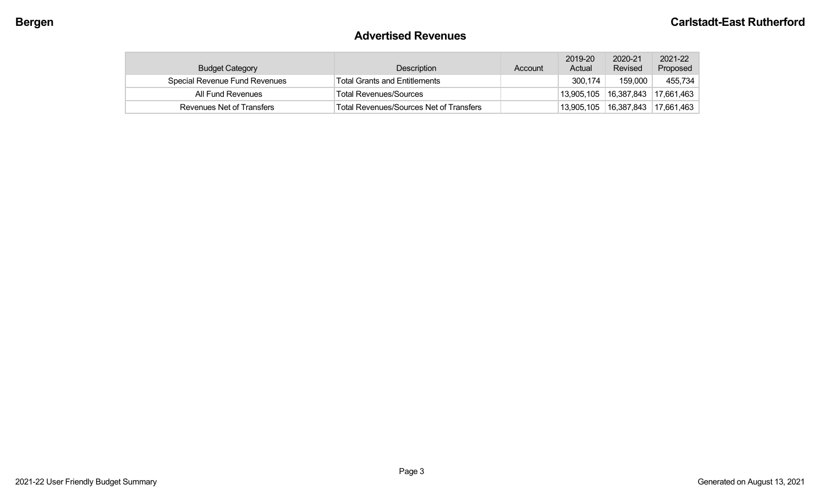# **Advertised Revenues**

| <b>Budget Category</b>               | Description                             | Account | 2019-20<br>Actual | 2020-21<br>Revised | 2021-22<br>Proposed     |
|--------------------------------------|-----------------------------------------|---------|-------------------|--------------------|-------------------------|
| <b>Special Revenue Fund Revenues</b> | <b>Total Grants and Entitlements</b>    |         | 300,174           | 159,000            | 455,734                 |
| All Fund Revenues                    | <b>Total Revenues/Sources</b>           |         | 13,905,105        | 16,387,843         | 17,661,463              |
| Revenues Net of Transfers            | Total Revenues/Sources Net of Transfers |         | 13,905,105        |                    | 16,387,843   17,661,463 |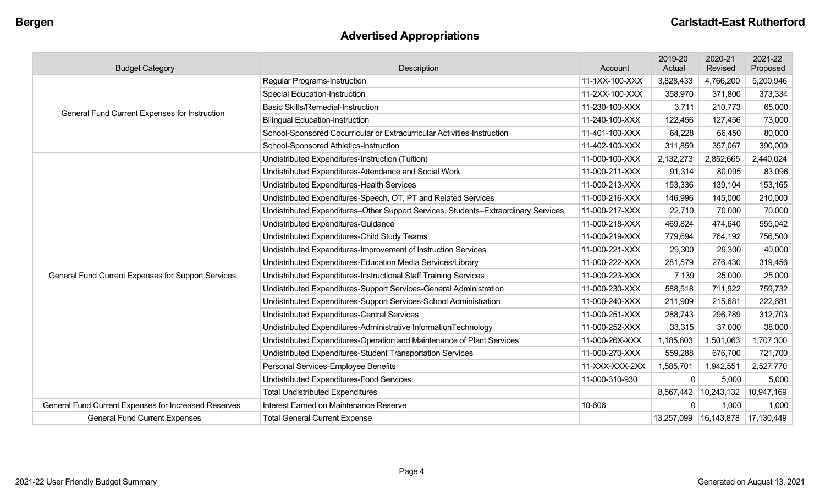# **Advertised Appropriations**

| <b>Budget Category</b>                               | Description                                                                        | Account        | 2019-20<br>Actual | 2020-21<br>Revised | 2021-22<br>Proposed |
|------------------------------------------------------|------------------------------------------------------------------------------------|----------------|-------------------|--------------------|---------------------|
|                                                      | Regular Programs-Instruction                                                       | 11-1XX-100-XXX | 3,828,433         | 4,766,200          | 5,200,946           |
|                                                      | <b>Special Education-Instruction</b>                                               | 11-2XX-100-XXX | 358,970           | 371,800            | 373,334             |
| General Fund Current Expenses for Instruction        | <b>Basic Skills/Remedial-Instruction</b>                                           | 11-230-100-XXX | 3,711             | 210,773            | 65,000              |
|                                                      | <b>Bilingual Education-Instruction</b>                                             | 11-240-100-XXX | 122,456           | 127,456            | 73,000              |
|                                                      | School-Sponsored Cocurricular or Extracurricular Activities-Instruction            | 11-401-100-XXX | 64,228            | 66,450             | 80,000              |
|                                                      | School-Sponsored Athletics-Instruction                                             | 11-402-100-XXX | 311,859           | 357,067            | 390,000             |
|                                                      | Undistributed Expenditures-Instruction (Tuition)                                   | 11-000-100-XXX | 2,132,273         | 2,852,665          | 2,440,024           |
|                                                      | Undistributed Expenditures-Attendance and Social Work                              | 11-000-211-XXX | 91,314            | 80,095             | 83,096              |
|                                                      | Undistributed Expenditures-Health Services                                         | 11-000-213-XXX | 153,336           | 139,104            | 153,165             |
|                                                      | Undistributed Expenditures-Speech, OT, PT and Related Services                     | 11-000-216-XXX | 146,996           | 145,000            | 210,000             |
|                                                      | Undistributed Expenditures-Other Support Services, Students-Extraordinary Services | 11-000-217-XXX | 22,710            | 70,000             | 70,000              |
|                                                      | Undistributed Expenditures-Guidance                                                | 11-000-218-XXX | 469,824           | 474,640            | 555,042             |
|                                                      | Undistributed Expenditures-Child Study Teams                                       | 11-000-219-XXX | 779,694           | 764,192            | 756,500             |
|                                                      | Undistributed Expenditures-Improvement of Instruction Services                     | 11-000-221-XXX | 29,300            | 29,300             | 40,000              |
|                                                      | Undistributed Expenditures-Education Media Services/Library                        | 11-000-222-XXX | 281,579           | 276,430            | 319,456             |
| General Fund Current Expenses for Support Services   | Undistributed Expenditures-Instructional Staff Training Services                   | 11-000-223-XXX | 7,139             | 25,000             | 25,000              |
|                                                      | Undistributed Expenditures-Support Services-General Administration                 | 11-000-230-XXX | 588,518           | 711,922            | 759,732             |
|                                                      | Undistributed Expenditures-Support Services-School Administration                  | 11-000-240-XXX | 211,909           | 215,681            | 222,681             |
|                                                      | <b>Undistributed Expenditures-Central Services</b>                                 | 11-000-251-XXX | 288,743           | 296,789            | 312,703             |
|                                                      | Undistributed Expenditures-Administrative InformationTechnology                    | 11-000-252-XXX | 33,315            | 37,000             | 38,000              |
|                                                      | Undistributed Expenditures-Operation and Maintenance of Plant Services             | 11-000-26X-XXX | 1,185,803         | 1,501,063          | 1,707,300           |
|                                                      | Undistributed Expenditures-Student Transportation Services                         | 11-000-270-XXX | 559,288           | 676,700            | 721,700             |
|                                                      | Personal Services-Employee Benefits                                                | 11-XXX-XXX-2XX | 1,585,701         | 1,942,551          | 2,527,770           |
|                                                      | Undistributed Expenditures-Food Services                                           | 11-000-310-930 | $\mathbf 0$       | 5,000              | 5,000               |
|                                                      | <b>Total Undistributed Expenditures</b>                                            |                | 8,567,442         | 10,243,132         | 10,947,169          |
| General Fund Current Expenses for Increased Reserves | Interest Earned on Maintenance Reserve                                             | 10-606         | $\Omega$          | 1,000              | 1,000               |
| <b>General Fund Current Expenses</b>                 | <b>Total General Current Expense</b>                                               |                | 13,257,099        |                    |                     |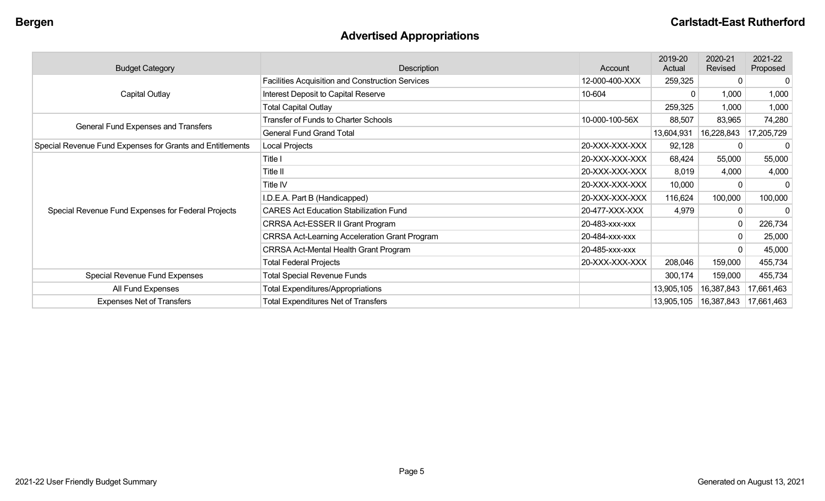# **Advertised Appropriations**

| <b>Budget Category</b>                                    | Description                                          | Account        | 2019-20<br>Actual | 2020-21<br>Revised | 2021-22<br>Proposed |
|-----------------------------------------------------------|------------------------------------------------------|----------------|-------------------|--------------------|---------------------|
|                                                           | Facilities Acquisition and Construction Services     | 12-000-400-XXX | 259,325           | 0                  | 0                   |
| Capital Outlay                                            | Interest Deposit to Capital Reserve                  | 10-604         |                   | 1,000              | 1,000               |
|                                                           | <b>Total Capital Outlay</b>                          |                | 259,325           | 1,000              | 1,000               |
|                                                           | <b>Transfer of Funds to Charter Schools</b>          | 10-000-100-56X | 88,507            | 83,965             | 74,280              |
| General Fund Expenses and Transfers                       | <b>General Fund Grand Total</b>                      |                | 13,604,931        | 16,228,843         | 17,205,729          |
| Special Revenue Fund Expenses for Grants and Entitlements | Local Projects                                       | 20-XXX-XXX-XXX | 92,128            | 0                  |                     |
|                                                           | Title I                                              | 20-XXX-XXX-XXX | 68,424            | 55,000             | 55,000              |
|                                                           | Title II                                             | 20-XXX-XXX-XXX | 8,019             | 4,000              | 4,000               |
|                                                           | Title IV                                             | 20-XXX-XXX-XXX | 10,000            | $\Omega$           |                     |
|                                                           | I.D.E.A. Part B (Handicapped)                        | 20-XXX-XXX-XXX | 116,624           | 100,000            | 100,000             |
| Special Revenue Fund Expenses for Federal Projects        | <b>CARES Act Education Stabilization Fund</b>        | 20-477-XXX-XXX | 4,979             | $\Omega$           |                     |
|                                                           | CRRSA Act-ESSER II Grant Program                     | 20-483-XXX-XXX |                   | 0                  | 226,734             |
|                                                           | <b>CRRSA Act-Learning Acceleration Grant Program</b> | 20-484-XXX-XXX |                   | 0                  | 25,000              |
|                                                           | <b>CRRSA Act-Mental Health Grant Program</b>         | 20-485-xxx-xxx |                   | $\Omega$           | 45,000              |
|                                                           | <b>Total Federal Projects</b>                        | 20-XXX-XXX-XXX | 208,046           | 159,000            | 455,734             |
| Special Revenue Fund Expenses                             | <b>Total Special Revenue Funds</b>                   |                | 300,174           | 159,000            | 455,734             |
| All Fund Expenses                                         | <b>Total Expenditures/Appropriations</b>             |                | 13,905,105        | 16,387,843         | 17,661,463          |
| <b>Expenses Net of Transfers</b>                          | <b>Total Expenditures Net of Transfers</b>           |                | 13,905,105        |                    |                     |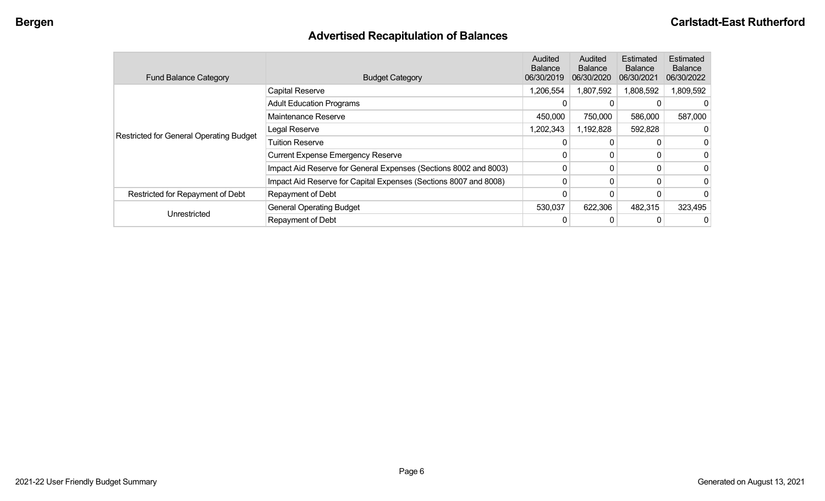# **Advertised Recapitulation of Balances**

| <b>Fund Balance Category</b>            | <b>Budget Category</b>                                           | Audited<br><b>Balance</b><br>06/30/2019 | Audited<br><b>Balance</b><br>06/30/2020 | Estimated<br><b>Balance</b><br>06/30/2021 | Estimated<br><b>Balance</b><br>06/30/2022 |
|-----------------------------------------|------------------------------------------------------------------|-----------------------------------------|-----------------------------------------|-------------------------------------------|-------------------------------------------|
|                                         | Capital Reserve                                                  | 1,206,554                               | 1,807,592                               | 1,808,592                                 | 1,809,592                                 |
|                                         | <b>Adult Education Programs</b>                                  |                                         |                                         |                                           | $\Omega$                                  |
|                                         | Maintenance Reserve                                              | 450,000                                 | 750,000                                 | 586,000                                   | 587,000                                   |
| Restricted for General Operating Budget | Legal Reserve                                                    | ,202,343                                | 1,192,828                               | 592,828                                   |                                           |
|                                         | <b>Tuition Reserve</b>                                           |                                         |                                         |                                           | 0                                         |
|                                         | <b>Current Expense Emergency Reserve</b>                         |                                         | 0                                       |                                           | 0                                         |
|                                         | Impact Aid Reserve for General Expenses (Sections 8002 and 8003) |                                         |                                         |                                           | 0                                         |
|                                         | Impact Aid Reserve for Capital Expenses (Sections 8007 and 8008) | $\Omega$                                | 0                                       |                                           | 0                                         |
| Restricted for Repayment of Debt        | Repayment of Debt                                                |                                         |                                         |                                           | 0                                         |
|                                         | <b>General Operating Budget</b>                                  | 530,037                                 | 622,306                                 | 482,315                                   | 323,495                                   |
| Unrestricted                            | Repayment of Debt                                                |                                         |                                         |                                           | 0                                         |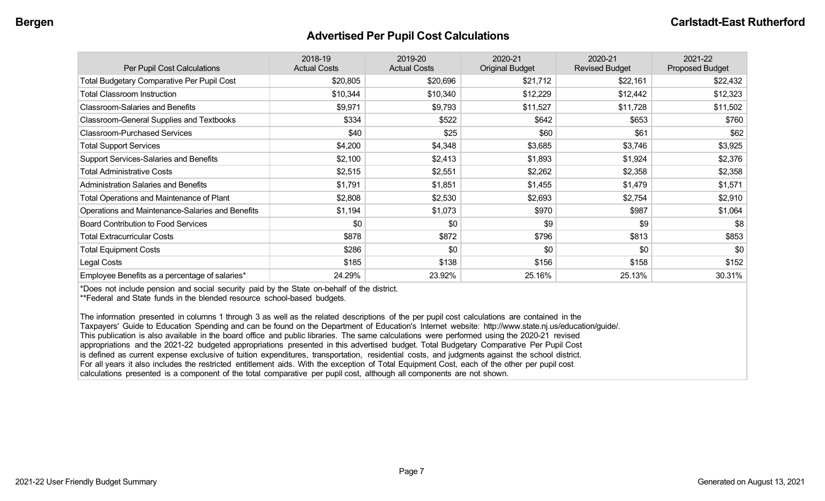### **Advertised Per Pupil Cost Calculations**

| Per Pupil Cost Calculations                       | 2018-19<br><b>Actual Costs</b> | 2019-20<br><b>Actual Costs</b> | 2020-21<br><b>Original Budget</b> | 2020-21<br><b>Revised Budget</b> | 2021-22<br><b>Proposed Budget</b> |
|---------------------------------------------------|--------------------------------|--------------------------------|-----------------------------------|----------------------------------|-----------------------------------|
| <b>Total Budgetary Comparative Per Pupil Cost</b> | \$20,805                       | \$20,696                       | \$21,712                          | \$22,161                         | \$22,432                          |
| <b>Total Classroom Instruction</b>                | \$10,344                       | \$10,340                       | \$12,229                          | \$12,442                         | \$12,323                          |
| <b>Classroom-Salaries and Benefits</b>            | \$9,971                        | \$9,793                        | \$11,527                          | \$11,728                         | \$11,502                          |
| Classroom-General Supplies and Textbooks          | \$334                          | \$522                          | \$642                             | \$653                            | \$760                             |
| <b>Classroom-Purchased Services</b>               | \$40                           | \$25                           | \$60                              | \$61                             | \$62                              |
| <b>Total Support Services</b>                     | \$4,200                        | \$4,348                        | \$3,685                           | \$3,746                          | \$3,925                           |
| <b>Support Services-Salaries and Benefits</b>     | \$2,100                        | \$2,413                        | \$1,893                           | \$1,924                          | \$2,376                           |
| <b>Total Administrative Costs</b>                 | \$2,515                        | \$2,551                        | \$2,262                           | \$2,358                          | \$2,358                           |
| <b>Administration Salaries and Benefits</b>       | \$1,791                        | \$1,851                        | \$1,455                           | \$1,479                          | \$1,571                           |
| Total Operations and Maintenance of Plant         | \$2,808                        | \$2,530                        | \$2,693                           | \$2,754                          | \$2,910                           |
| Operations and Maintenance-Salaries and Benefits  | \$1,194                        | \$1,073                        | \$970                             | \$987                            | \$1,064                           |
| <b>Board Contribution to Food Services</b>        | \$0                            | \$0                            | \$9                               | \$9                              | \$8                               |
| <b>Total Extracurricular Costs</b>                | \$878                          | \$872                          | \$796                             | \$813                            | \$853                             |
| <b>Total Equipment Costs</b>                      | \$286                          | \$0                            | \$0                               | \$0                              | \$0                               |
| Legal Costs                                       | \$185                          | \$138                          | \$156                             | \$158                            | \$152                             |
| Employee Benefits as a percentage of salaries*    | 24.29%                         | 23.92%                         | 25.16%                            | 25.13%                           | 30.31%                            |

\*Does not include pension and social security paid by the State on-behalf of the district.

\*\*Federal and State funds in the blended resource school-based budgets.

The information presented in columns 1 through 3 as well as the related descriptions of the per pupil cost calculations are contained in the Taxpayers' Guide to Education Spending and can be found on the Department of Education's Internet website: http://www.state.nj.us/education/guide/. This publication is also available in the board office and public libraries. The same calculations were performed using the 2020-21 revised appropriations and the 2021-22 budgeted appropriations presented in this advertised budget. Total Budgetary Comparative Per Pupil Cost is defined as current expense exclusive of tuition expenditures, transportation, residential costs, and judgments against the school district. For all years it also includes the restricted entitlement aids. With the exception of Total Equipment Cost, each of the other per pupil cost calculations presented is a component of the total comparative per pupil cost, although all components are not shown.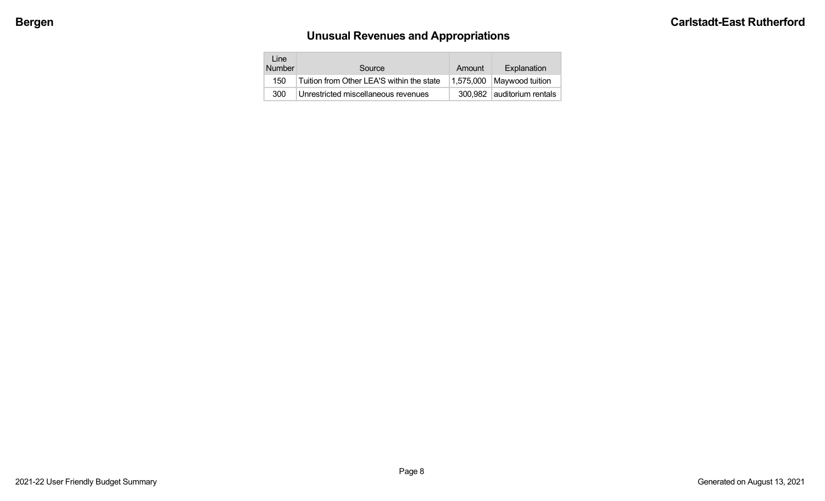# **Unusual Revenues and Appropriations**

| Line<br><b>Number</b> | Source                                    | Amount    | Explanation                |
|-----------------------|-------------------------------------------|-----------|----------------------------|
| 150                   | Tuition from Other LEA'S within the state | 1.575.000 | Maywood tuition            |
| 300                   | Unrestricted miscellaneous revenues       |           | 300,982 auditorium rentals |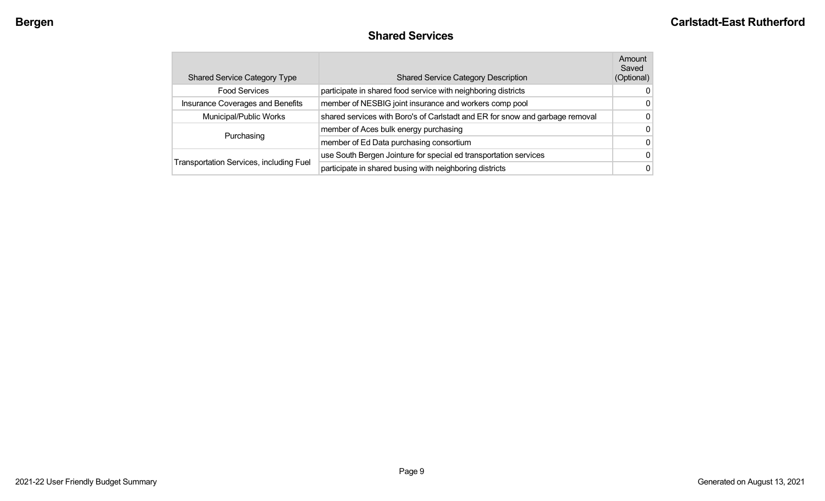# **Shared Services**

|            | <b>Shared Service Category Type</b>            | <b>Shared Service Category Description</b>                                   | Amount<br>Saved<br>(Optional) |
|------------|------------------------------------------------|------------------------------------------------------------------------------|-------------------------------|
|            | <b>Food Services</b>                           | participate in shared food service with neighboring districts                | 0                             |
|            | Insurance Coverages and Benefits               | member of NESBIG joint insurance and workers comp pool                       | O                             |
|            | Municipal/Public Works                         | shared services with Boro's of Carlstadt and ER for snow and garbage removal | 0                             |
| Purchasing |                                                | member of Aces bulk energy purchasing                                        | 0                             |
|            |                                                | member of Ed Data purchasing consortium                                      | 0                             |
|            |                                                | use South Bergen Jointure for special ed transportation services             | 0                             |
|            | <b>Transportation Services, including Fuel</b> | participate in shared busing with neighboring districts                      | 0                             |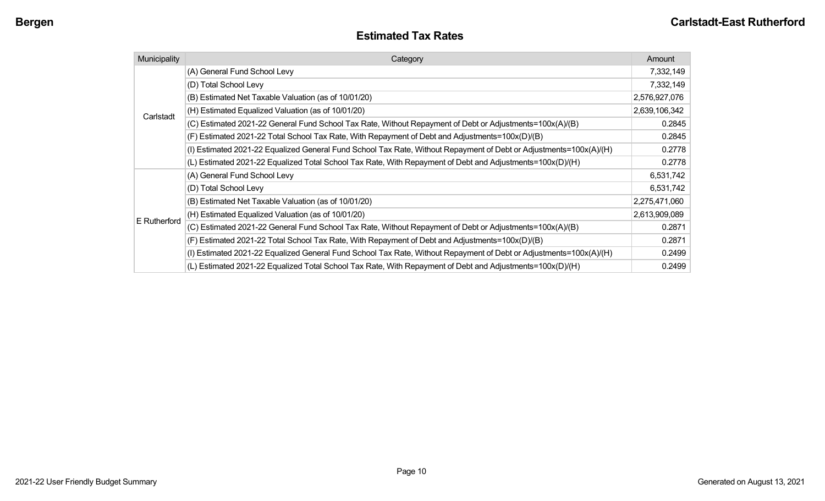# **Estimated Tax Rates**

| Municipality | Category                                                                                                           |               |  |  |
|--------------|--------------------------------------------------------------------------------------------------------------------|---------------|--|--|
|              | (A) General Fund School Levy                                                                                       | 7,332,149     |  |  |
|              | (D) Total School Levy                                                                                              | 7,332,149     |  |  |
|              | (B) Estimated Net Taxable Valuation (as of 10/01/20)                                                               | 2,576,927,076 |  |  |
| Carlstadt    | (H) Estimated Equalized Valuation (as of 10/01/20)                                                                 | 2,639,106,342 |  |  |
|              | (C) Estimated 2021-22 General Fund School Tax Rate, Without Repayment of Debt or Adjustments=100x(A)/(B)           | 0.2845        |  |  |
|              | (F) Estimated 2021-22 Total School Tax Rate, With Repayment of Debt and Adjustments=100x(D)/(B)                    | 0.2845        |  |  |
|              | (I) Estimated 2021-22 Equalized General Fund School Tax Rate, Without Repayment of Debt or Adjustments=100x(A)/(H) | 0.2778        |  |  |
|              | (L) Estimated 2021-22 Equalized Total School Tax Rate, With Repayment of Debt and Adjustments=100x(D)/(H)          | 0.2778        |  |  |
|              | (A) General Fund School Levy                                                                                       | 6,531,742     |  |  |
|              | (D) Total School Levy                                                                                              | 6,531,742     |  |  |
|              | (B) Estimated Net Taxable Valuation (as of 10/01/20)                                                               | 2,275,471,060 |  |  |
|              | (H) Estimated Equalized Valuation (as of 10/01/20)                                                                 | 2,613,909,089 |  |  |
| E Rutherford | (C) Estimated 2021-22 General Fund School Tax Rate, Without Repayment of Debt or Adjustments=100x(A)/(B)           | 0.2871        |  |  |
|              | (F) Estimated 2021-22 Total School Tax Rate, With Repayment of Debt and Adjustments=100x(D)/(B)                    | 0.2871        |  |  |
|              | (I) Estimated 2021-22 Equalized General Fund School Tax Rate, Without Repayment of Debt or Adjustments=100x(A)/(H) | 0.2499        |  |  |
|              | (L) Estimated 2021-22 Equalized Total School Tax Rate, With Repayment of Debt and Adjustments=100x(D)/(H)          | 0.2499        |  |  |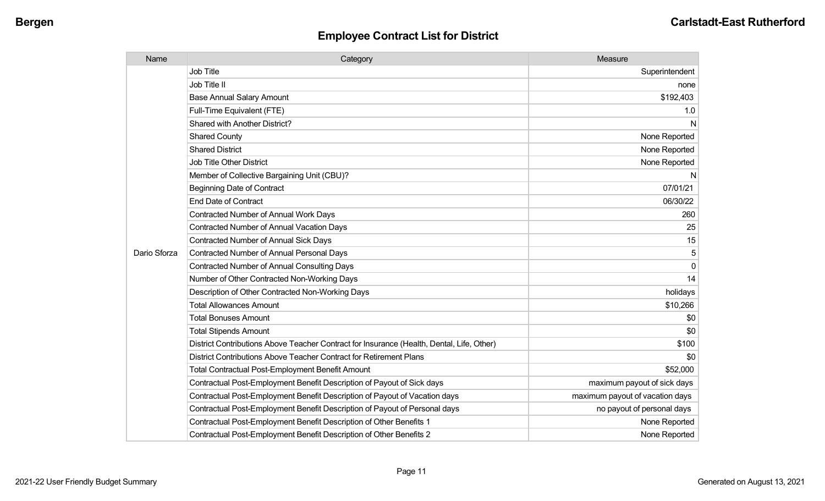| Name         | Category                                                                                  | Measure                         |
|--------------|-------------------------------------------------------------------------------------------|---------------------------------|
|              | <b>Job Title</b>                                                                          | Superintendent                  |
|              | Job Title II                                                                              | none                            |
|              | <b>Base Annual Salary Amount</b>                                                          | \$192,403                       |
|              | Full-Time Equivalent (FTE)                                                                | 1.0                             |
|              | <b>Shared with Another District?</b>                                                      | N                               |
|              | <b>Shared County</b>                                                                      | None Reported                   |
|              | <b>Shared District</b>                                                                    | None Reported                   |
|              | <b>Job Title Other District</b>                                                           | None Reported                   |
|              | Member of Collective Bargaining Unit (CBU)?                                               | N                               |
|              | <b>Beginning Date of Contract</b>                                                         | 07/01/21                        |
|              | <b>End Date of Contract</b>                                                               | 06/30/22                        |
|              | <b>Contracted Number of Annual Work Days</b>                                              | 260                             |
|              | <b>Contracted Number of Annual Vacation Days</b>                                          | 25                              |
|              | <b>Contracted Number of Annual Sick Days</b>                                              | 15                              |
| Dario Sforza | <b>Contracted Number of Annual Personal Days</b>                                          | 5                               |
|              | <b>Contracted Number of Annual Consulting Days</b>                                        | $\Omega$                        |
|              | Number of Other Contracted Non-Working Days                                               | 14                              |
|              | Description of Other Contracted Non-Working Days                                          | holidays                        |
|              | <b>Total Allowances Amount</b>                                                            | \$10,266                        |
|              | <b>Total Bonuses Amount</b>                                                               | \$0                             |
|              | <b>Total Stipends Amount</b>                                                              | \$0                             |
|              | District Contributions Above Teacher Contract for Insurance (Health, Dental, Life, Other) | \$100                           |
|              | District Contributions Above Teacher Contract for Retirement Plans                        | \$0                             |
|              | <b>Total Contractual Post-Employment Benefit Amount</b>                                   | \$52,000                        |
|              | Contractual Post-Employment Benefit Description of Payout of Sick days                    | maximum payout of sick days     |
|              | Contractual Post-Employment Benefit Description of Payout of Vacation days                | maximum payout of vacation days |
|              | Contractual Post-Employment Benefit Description of Payout of Personal days                | no payout of personal days      |
|              | Contractual Post-Employment Benefit Description of Other Benefits 1                       | None Reported                   |
|              | Contractual Post-Employment Benefit Description of Other Benefits 2                       | None Reported                   |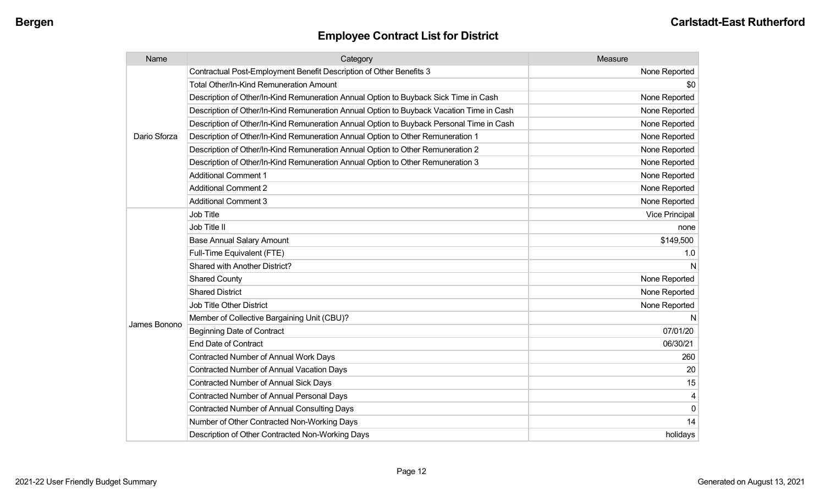| Name         | Category                                                                                 | Measure               |
|--------------|------------------------------------------------------------------------------------------|-----------------------|
|              | Contractual Post-Employment Benefit Description of Other Benefits 3                      | None Reported         |
|              | <b>Total Other/In-Kind Remuneration Amount</b>                                           | \$0                   |
|              | Description of Other/In-Kind Remuneration Annual Option to Buyback Sick Time in Cash     | None Reported         |
|              | Description of Other/In-Kind Remuneration Annual Option to Buyback Vacation Time in Cash | None Reported         |
|              | Description of Other/In-Kind Remuneration Annual Option to Buyback Personal Time in Cash | None Reported         |
| Dario Sforza | Description of Other/In-Kind Remuneration Annual Option to Other Remuneration 1          | None Reported         |
|              | Description of Other/In-Kind Remuneration Annual Option to Other Remuneration 2          | None Reported         |
|              | Description of Other/In-Kind Remuneration Annual Option to Other Remuneration 3          | None Reported         |
|              | <b>Additional Comment 1</b>                                                              | None Reported         |
|              | <b>Additional Comment 2</b>                                                              | None Reported         |
|              | <b>Additional Comment 3</b>                                                              | None Reported         |
|              | <b>Job Title</b>                                                                         | <b>Vice Principal</b> |
|              | Job Title II                                                                             | none                  |
|              | <b>Base Annual Salary Amount</b>                                                         | \$149,500             |
|              | Full-Time Equivalent (FTE)                                                               | 1.0                   |
|              | Shared with Another District?                                                            | N                     |
|              | <b>Shared County</b>                                                                     | None Reported         |
|              | <b>Shared District</b>                                                                   | None Reported         |
|              | Job Title Other District                                                                 | None Reported         |
|              | Member of Collective Bargaining Unit (CBU)?                                              | N                     |
| James Bonono | <b>Beginning Date of Contract</b>                                                        | 07/01/20              |
|              | <b>End Date of Contract</b>                                                              | 06/30/21              |
|              | Contracted Number of Annual Work Days                                                    | 260                   |
|              | <b>Contracted Number of Annual Vacation Days</b>                                         | 20                    |
|              | <b>Contracted Number of Annual Sick Days</b>                                             | 15                    |
|              | Contracted Number of Annual Personal Days                                                | 4                     |
|              | <b>Contracted Number of Annual Consulting Days</b>                                       | $\mathbf 0$           |
|              | Number of Other Contracted Non-Working Days                                              | 14                    |
|              | Description of Other Contracted Non-Working Days                                         | holidays              |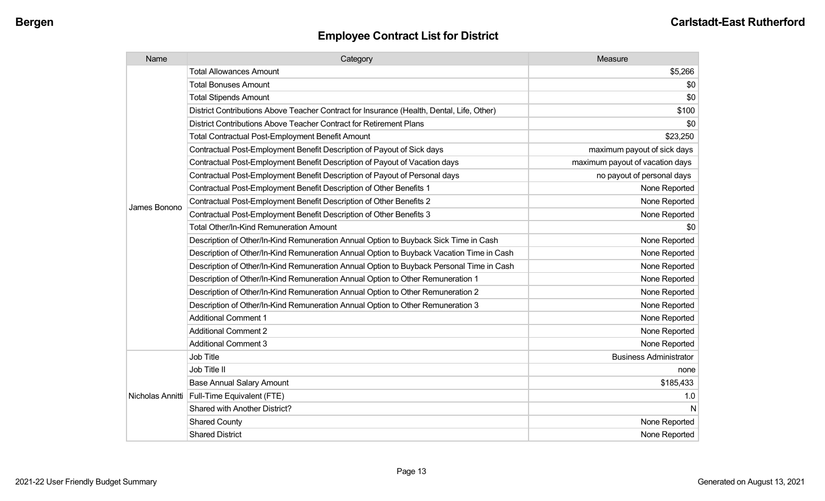| Name             | Category                                                                                  | Measure                         |
|------------------|-------------------------------------------------------------------------------------------|---------------------------------|
|                  | <b>Total Allowances Amount</b>                                                            | \$5,266                         |
|                  | <b>Total Bonuses Amount</b>                                                               | \$0                             |
|                  | <b>Total Stipends Amount</b>                                                              | \$0                             |
|                  | District Contributions Above Teacher Contract for Insurance (Health, Dental, Life, Other) | \$100                           |
|                  | District Contributions Above Teacher Contract for Retirement Plans                        | \$0                             |
|                  | Total Contractual Post-Employment Benefit Amount                                          | \$23,250                        |
|                  | Contractual Post-Employment Benefit Description of Payout of Sick days                    | maximum payout of sick days     |
|                  | Contractual Post-Employment Benefit Description of Payout of Vacation days                | maximum payout of vacation days |
|                  | Contractual Post-Employment Benefit Description of Payout of Personal days                | no payout of personal days      |
|                  | Contractual Post-Employment Benefit Description of Other Benefits 1                       | None Reported                   |
| James Bonono     | Contractual Post-Employment Benefit Description of Other Benefits 2                       | None Reported                   |
|                  | Contractual Post-Employment Benefit Description of Other Benefits 3                       | None Reported                   |
|                  | Total Other/In-Kind Remuneration Amount                                                   | \$0                             |
|                  | Description of Other/In-Kind Remuneration Annual Option to Buyback Sick Time in Cash      | None Reported                   |
|                  | Description of Other/In-Kind Remuneration Annual Option to Buyback Vacation Time in Cash  | None Reported                   |
|                  | Description of Other/In-Kind Remuneration Annual Option to Buyback Personal Time in Cash  | None Reported                   |
|                  | Description of Other/In-Kind Remuneration Annual Option to Other Remuneration 1           | None Reported                   |
|                  | Description of Other/In-Kind Remuneration Annual Option to Other Remuneration 2           | None Reported                   |
|                  | Description of Other/In-Kind Remuneration Annual Option to Other Remuneration 3           | None Reported                   |
|                  | <b>Additional Comment 1</b>                                                               | None Reported                   |
|                  | <b>Additional Comment 2</b>                                                               | None Reported                   |
|                  | <b>Additional Comment 3</b>                                                               | None Reported                   |
| Nicholas Annitti | Job Title                                                                                 | <b>Business Administrator</b>   |
|                  | Job Title II                                                                              | none                            |
|                  | <b>Base Annual Salary Amount</b>                                                          | \$185,433                       |
|                  | Full-Time Equivalent (FTE)                                                                | 1.0                             |
|                  | Shared with Another District?                                                             | N                               |
|                  | <b>Shared County</b>                                                                      | None Reported                   |
|                  | <b>Shared District</b>                                                                    | None Reported                   |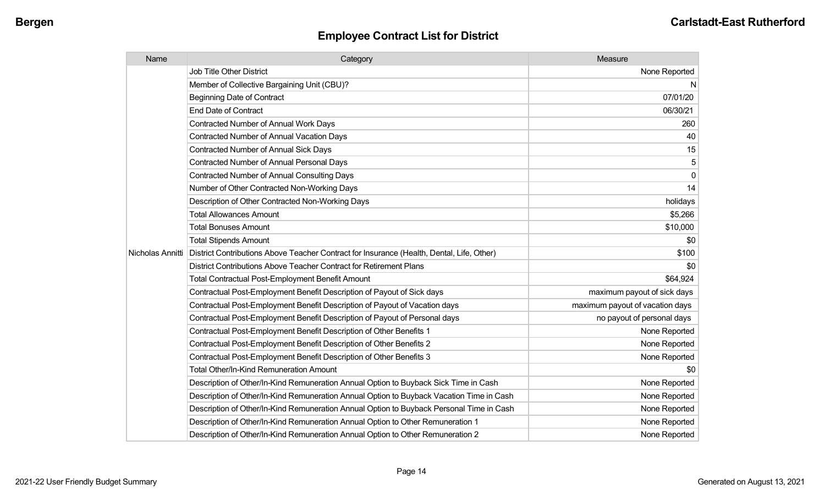| Name             | Category                                                                                  | Measure                         |
|------------------|-------------------------------------------------------------------------------------------|---------------------------------|
|                  | Job Title Other District                                                                  | None Reported                   |
|                  | Member of Collective Bargaining Unit (CBU)?                                               | N                               |
|                  | <b>Beginning Date of Contract</b>                                                         | 07/01/20                        |
|                  | <b>End Date of Contract</b>                                                               | 06/30/21                        |
|                  | <b>Contracted Number of Annual Work Days</b>                                              | 260                             |
|                  | Contracted Number of Annual Vacation Days                                                 | 40                              |
|                  | <b>Contracted Number of Annual Sick Days</b>                                              | 15                              |
|                  | Contracted Number of Annual Personal Days                                                 | 5                               |
|                  | Contracted Number of Annual Consulting Days                                               | $\mathbf 0$                     |
|                  | Number of Other Contracted Non-Working Days                                               | 14                              |
|                  | Description of Other Contracted Non-Working Days                                          | holidays                        |
|                  | <b>Total Allowances Amount</b>                                                            | \$5,266                         |
|                  | <b>Total Bonuses Amount</b>                                                               | \$10,000                        |
|                  | <b>Total Stipends Amount</b>                                                              | \$0                             |
| Nicholas Annitti | District Contributions Above Teacher Contract for Insurance (Health, Dental, Life, Other) | \$100                           |
|                  | District Contributions Above Teacher Contract for Retirement Plans                        | \$0                             |
|                  | <b>Total Contractual Post-Employment Benefit Amount</b>                                   | \$64,924                        |
|                  | Contractual Post-Employment Benefit Description of Payout of Sick days                    | maximum payout of sick days     |
|                  | Contractual Post-Employment Benefit Description of Payout of Vacation days                | maximum payout of vacation days |
|                  | Contractual Post-Employment Benefit Description of Payout of Personal days                | no payout of personal days      |
|                  | Contractual Post-Employment Benefit Description of Other Benefits 1                       | None Reported                   |
|                  | Contractual Post-Employment Benefit Description of Other Benefits 2                       | None Reported                   |
|                  | Contractual Post-Employment Benefit Description of Other Benefits 3                       | None Reported                   |
|                  | Total Other/In-Kind Remuneration Amount                                                   | \$0                             |
|                  | Description of Other/In-Kind Remuneration Annual Option to Buyback Sick Time in Cash      | None Reported                   |
|                  | Description of Other/In-Kind Remuneration Annual Option to Buyback Vacation Time in Cash  | None Reported                   |
|                  | Description of Other/In-Kind Remuneration Annual Option to Buyback Personal Time in Cash  | None Reported                   |
|                  | Description of Other/In-Kind Remuneration Annual Option to Other Remuneration 1           | None Reported                   |
|                  | Description of Other/In-Kind Remuneration Annual Option to Other Remuneration 2           | None Reported                   |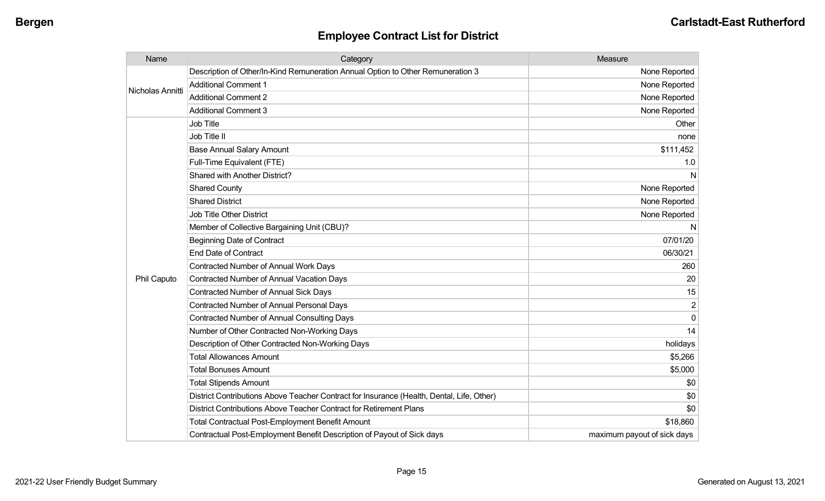| Name             | Category                                                                                  | Measure                     |
|------------------|-------------------------------------------------------------------------------------------|-----------------------------|
| Nicholas Annitti | Description of Other/In-Kind Remuneration Annual Option to Other Remuneration 3           | None Reported               |
|                  | <b>Additional Comment 1</b>                                                               | None Reported               |
|                  | <b>Additional Comment 2</b>                                                               | None Reported               |
|                  | <b>Additional Comment 3</b>                                                               | None Reported               |
|                  | <b>Job Title</b>                                                                          | Other                       |
|                  | Job Title II                                                                              | none                        |
|                  | <b>Base Annual Salary Amount</b>                                                          | \$111,452                   |
|                  | Full-Time Equivalent (FTE)                                                                | 1.0                         |
|                  | Shared with Another District?                                                             | N                           |
|                  | <b>Shared County</b>                                                                      | None Reported               |
|                  | <b>Shared District</b>                                                                    | None Reported               |
|                  | <b>Job Title Other District</b>                                                           | None Reported               |
|                  | Member of Collective Bargaining Unit (CBU)?                                               | N                           |
|                  | <b>Beginning Date of Contract</b>                                                         | 07/01/20                    |
|                  | <b>End Date of Contract</b>                                                               | 06/30/21                    |
|                  | <b>Contracted Number of Annual Work Days</b>                                              | 260                         |
| Phil Caputo      | <b>Contracted Number of Annual Vacation Days</b>                                          | 20                          |
|                  | Contracted Number of Annual Sick Days                                                     | 15                          |
|                  | <b>Contracted Number of Annual Personal Days</b>                                          | $\overline{2}$              |
|                  | Contracted Number of Annual Consulting Days                                               | 0                           |
|                  | Number of Other Contracted Non-Working Days                                               | 14                          |
|                  | Description of Other Contracted Non-Working Days                                          | holidays                    |
|                  | <b>Total Allowances Amount</b>                                                            | \$5,266                     |
|                  | <b>Total Bonuses Amount</b>                                                               | \$5,000                     |
|                  | <b>Total Stipends Amount</b>                                                              | \$0                         |
|                  | District Contributions Above Teacher Contract for Insurance (Health, Dental, Life, Other) | \$0                         |
|                  | District Contributions Above Teacher Contract for Retirement Plans                        | \$0                         |
|                  | <b>Total Contractual Post-Employment Benefit Amount</b>                                   | \$18,860                    |
|                  | Contractual Post-Employment Benefit Description of Payout of Sick days                    | maximum payout of sick days |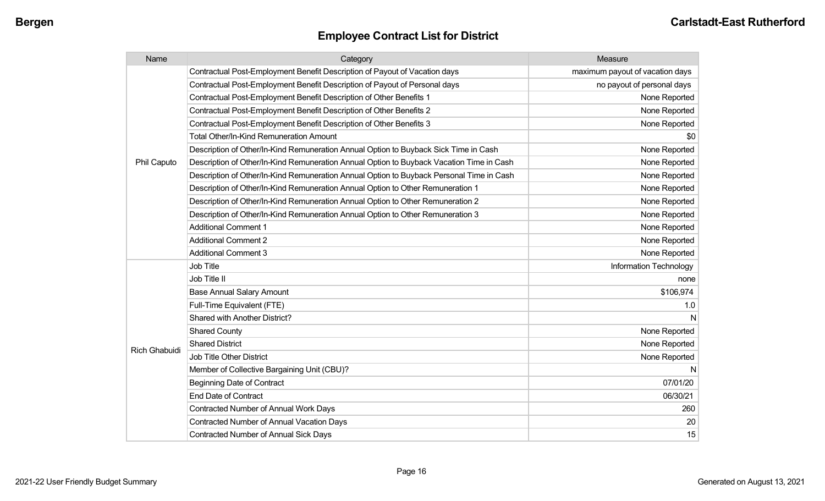| Name                 | Category                                                                                 | Measure                         |
|----------------------|------------------------------------------------------------------------------------------|---------------------------------|
| Phil Caputo          | Contractual Post-Employment Benefit Description of Payout of Vacation days               | maximum payout of vacation days |
|                      | Contractual Post-Employment Benefit Description of Payout of Personal days               | no payout of personal days      |
|                      | Contractual Post-Employment Benefit Description of Other Benefits 1                      | None Reported                   |
|                      | Contractual Post-Employment Benefit Description of Other Benefits 2                      | None Reported                   |
|                      | Contractual Post-Employment Benefit Description of Other Benefits 3                      | None Reported                   |
|                      | <b>Total Other/In-Kind Remuneration Amount</b>                                           | \$0                             |
|                      | Description of Other/In-Kind Remuneration Annual Option to Buyback Sick Time in Cash     | None Reported                   |
|                      | Description of Other/In-Kind Remuneration Annual Option to Buyback Vacation Time in Cash | None Reported                   |
|                      | Description of Other/In-Kind Remuneration Annual Option to Buyback Personal Time in Cash | None Reported                   |
|                      | Description of Other/In-Kind Remuneration Annual Option to Other Remuneration 1          | None Reported                   |
|                      | Description of Other/In-Kind Remuneration Annual Option to Other Remuneration 2          | None Reported                   |
|                      | Description of Other/In-Kind Remuneration Annual Option to Other Remuneration 3          | None Reported                   |
|                      | <b>Additional Comment 1</b>                                                              | None Reported                   |
|                      | <b>Additional Comment 2</b>                                                              | None Reported                   |
|                      | <b>Additional Comment 3</b>                                                              | None Reported                   |
|                      | <b>Job Title</b>                                                                         | Information Technology          |
|                      | Job Title II                                                                             | none                            |
|                      | <b>Base Annual Salary Amount</b>                                                         | \$106,974                       |
|                      | Full-Time Equivalent (FTE)                                                               | 1.0                             |
|                      | <b>Shared with Another District?</b>                                                     | N                               |
|                      | <b>Shared County</b>                                                                     | None Reported                   |
|                      | <b>Shared District</b>                                                                   | None Reported                   |
| <b>Rich Ghabuidi</b> | <b>Job Title Other District</b>                                                          | None Reported                   |
|                      | Member of Collective Bargaining Unit (CBU)?                                              | N                               |
|                      | <b>Beginning Date of Contract</b>                                                        | 07/01/20                        |
|                      | <b>End Date of Contract</b>                                                              | 06/30/21                        |
|                      | <b>Contracted Number of Annual Work Days</b>                                             | 260                             |
|                      | <b>Contracted Number of Annual Vacation Days</b>                                         | 20                              |
|                      | <b>Contracted Number of Annual Sick Days</b>                                             | 15                              |